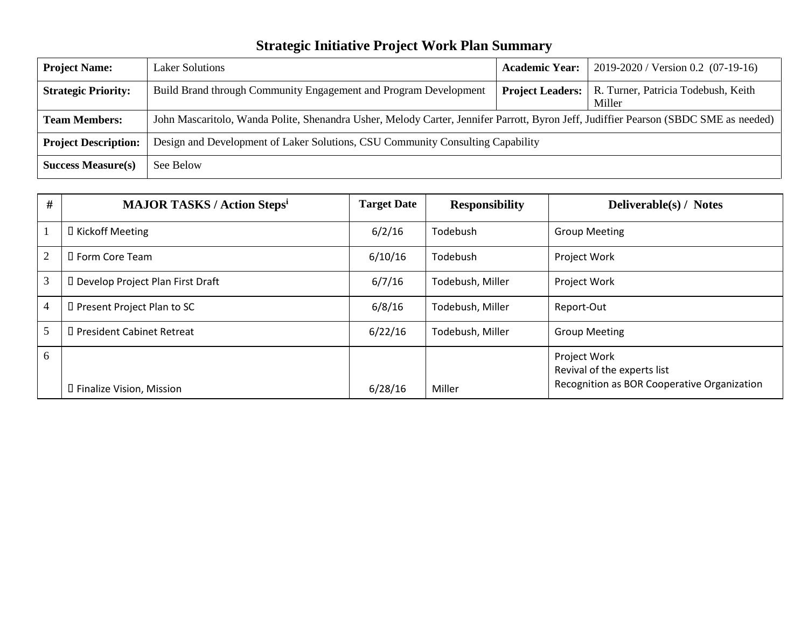## **Strategic Initiative Project Work Plan Summary**

| <b>Project Name:</b>        | <b>Laker Solutions</b>                                                                                                               | <b>Academic Year:</b>   | $2019 - 2020$ / Version 0.2 (07-19-16)        |  |
|-----------------------------|--------------------------------------------------------------------------------------------------------------------------------------|-------------------------|-----------------------------------------------|--|
| <b>Strategic Priority:</b>  | Build Brand through Community Engagement and Program Development                                                                     | <b>Project Leaders:</b> | R. Turner, Patricia Todebush, Keith<br>Miller |  |
| <b>Team Members:</b>        | John Mascaritolo, Wanda Polite, Shenandra Usher, Melody Carter, Jennifer Parrott, Byron Jeff, Judiffier Pearson (SBDC SME as needed) |                         |                                               |  |
| <b>Project Description:</b> | Design and Development of Laker Solutions, CSU Community Consulting Capability                                                       |                         |                                               |  |
| <b>Success Measure(s)</b>   | See Below                                                                                                                            |                         |                                               |  |

| #              | <b>MAJOR TASKS / Action Stepsi</b> | <b>Target Date</b> | <b>Responsibility</b> | <b>Deliverable(s) / Notes</b>               |
|----------------|------------------------------------|--------------------|-----------------------|---------------------------------------------|
|                | □ Kickoff Meeting                  | 6/2/16             | Todebush              | <b>Group Meeting</b>                        |
| $\overline{2}$ | □ Form Core Team                   | 6/10/16            | Todebush              | Project Work                                |
| $\mathfrak{Z}$ | D Develop Project Plan First Draft | 6/7/16             | Todebush, Miller      | Project Work                                |
| $\overline{4}$ | D Present Project Plan to SC       | 6/8/16             | Todebush, Miller      | Report-Out                                  |
| 5              | □ President Cabinet Retreat        | 6/22/16            | Todebush, Miller      | <b>Group Meeting</b>                        |
| 6              |                                    |                    |                       | Project Work<br>Revival of the experts list |
|                | □ Finalize Vision, Mission         | 6/28/16            | Miller                | Recognition as BOR Cooperative Organization |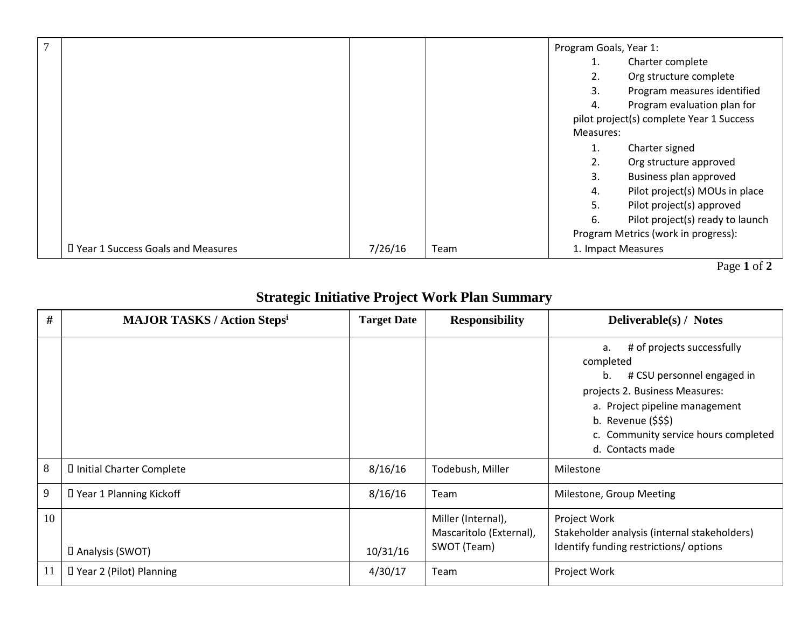| $\overline{7}$ |                                     |         |      | Program Goals, Year 1: |                                          |
|----------------|-------------------------------------|---------|------|------------------------|------------------------------------------|
|                |                                     |         |      |                        | Charter complete                         |
|                |                                     |         |      | 2.                     | Org structure complete                   |
|                |                                     |         |      | 3.                     | Program measures identified              |
|                |                                     |         |      | 4.                     | Program evaluation plan for              |
|                |                                     |         |      |                        | pilot project(s) complete Year 1 Success |
|                |                                     |         |      | Measures:              |                                          |
|                |                                     |         |      | 1.                     | Charter signed                           |
|                |                                     |         |      | 2.                     | Org structure approved                   |
|                |                                     |         |      | 3.                     | Business plan approved                   |
|                |                                     |         |      | 4.                     | Pilot project(s) MOUs in place           |
|                |                                     |         |      | 5.                     | Pilot project(s) approved                |
|                |                                     |         |      | 6.                     | Pilot project(s) ready to launch         |
|                |                                     |         |      |                        | Program Metrics (work in progress):      |
|                | D Year 1 Success Goals and Measures | 7/26/16 | Team | 1. Impact Measures     |                                          |

Page **1** of **2**

## **Strategic Initiative Project Work Plan Summary**

| #   | <b>MAJOR TASKS / Action Stepsi</b> | <b>Target Date</b> | <b>Responsibility</b>                                        | Deliverable(s) / Notes                                                                                                                                                                                                                  |
|-----|------------------------------------|--------------------|--------------------------------------------------------------|-----------------------------------------------------------------------------------------------------------------------------------------------------------------------------------------------------------------------------------------|
|     |                                    |                    |                                                              | # of projects successfully<br>a.<br>completed<br># CSU personnel engaged in<br>b.<br>projects 2. Business Measures:<br>a. Project pipeline management<br>b. Revenue $(555)$<br>c. Community service hours completed<br>d. Contacts made |
| 8   | I Initial Charter Complete         | 8/16/16            | Todebush, Miller                                             | Milestone                                                                                                                                                                                                                               |
| 9   | D Year 1 Planning Kickoff          | 8/16/16            | Team                                                         | Milestone, Group Meeting                                                                                                                                                                                                                |
| 10  | D Analysis (SWOT)                  | 10/31/16           | Miller (Internal),<br>Mascaritolo (External),<br>SWOT (Team) | Project Work<br>Stakeholder analysis (internal stakeholders)<br>Identify funding restrictions/ options                                                                                                                                  |
| -11 | D Year 2 (Pilot) Planning          | 4/30/17            | Team                                                         | Project Work                                                                                                                                                                                                                            |